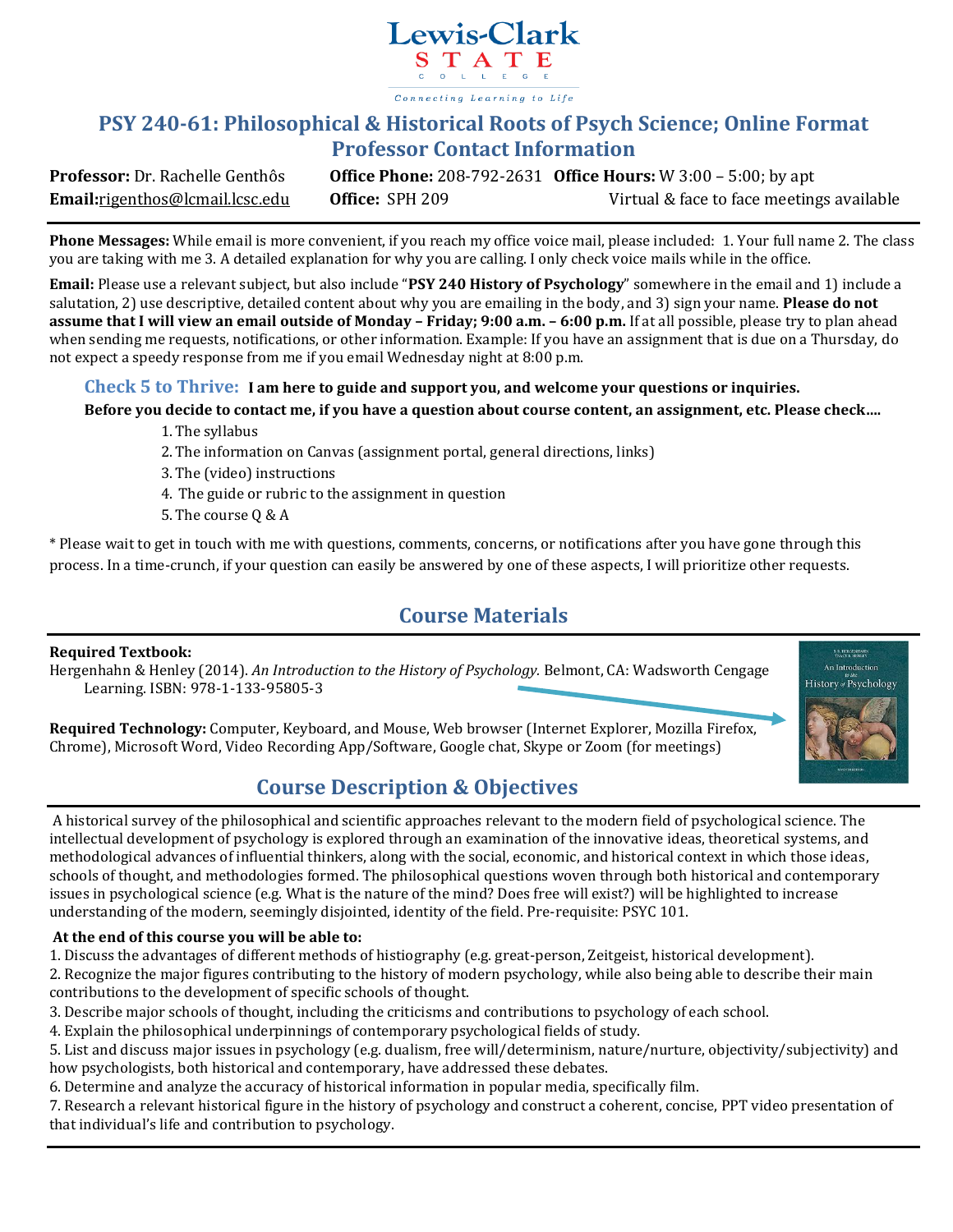

# **PSY 240-61: Philosophical & Historical Roots of Psych Science; Online Format Professor Contact Information**

**Professor:** Dr. Rachelle Genthôs **Office Phone:** 208-792-2631 **Office Hours:** W 3:00 – 5:00; by apt **Email:**rigenthos@lcmail.lcsc.edu **Office:** SPH 209 Virtual & face to face meetings available

**Phone Messages:** While email is more convenient, if you reach my office voice mail, please included: 1. Your full name 2. The class you are taking with me 3. A detailed explanation for why you are calling. I only check voice mails while in the office.

**Email:** Please use a relevant subject, but also include "**PSY 240 History of Psychology**" somewhere in the email and 1) include a salutation, 2) use descriptive, detailed content about why you are emailing in the body, and 3) sign your name. **Please do not assume that I will view an email outside of Monday – Friday; 9:00 a.m. – 6:00 p.m.** If at all possible, please try to plan ahead when sending me requests, notifications, or other information. Example: If you have an assignment that is due on a Thursday, do not expect a speedy response from me if you email Wednesday night at 8:00 p.m.

### **Check 5 to Thrive: I am here to guide and support you, and welcome your questions or inquiries.**

### **Before you decide to contact me, if you have a question about course content, an assignment, etc. Please check….**

- 1.The syllabus
- 2.The information on Canvas (assignment portal, general directions, links)
- 3.The (video) instructions
- 4. The guide or rubric to the assignment in question
- 5.The course Q & A

\* Please wait to get in touch with me with questions, comments, concerns, or notifications after you have gone through this process. In a time-crunch, if your question can easily be answered by one of these aspects, I will prioritize other requests.

# **Course Materials**

### **Required Textbook:**

Hergenhahn & Henley (2014). *An Introduction to the History of Psychology.* Belmont, CA: Wadsworth Cengage Learning. ISBN: 978-1-133-95805-3

**B. R. HERGENHAH** An Introduction History Psychology

**Required Technology:** Computer, Keyboard, and Mouse, Web browser (Internet Explorer, Mozilla Firefox, Chrome), Microsoft Word, Video Recording App/Software, Google chat, Skype or Zoom (for meetings)

# **Course Description & Objectives**

A historical survey of the philosophical and scientific approaches relevant to the modern field of psychological science. The intellectual development of psychology is explored through an examination of the innovative ideas, theoretical systems, and methodological advances of influential thinkers, along with the social, economic, and historical context in which those ideas, schools of thought, and methodologies formed. The philosophical questions woven through both historical and contemporary issues in psychological science (e.g. What is the nature of the mind? Does free will exist?) will be highlighted to increase understanding of the modern, seemingly disjointed, identity of the field. Pre-requisite: PSYC 101.

### **At the end of this course you will be able to:**

1. Discuss the advantages of different methods of histiography (e.g. great-person, Zeitgeist, historical development).

2. Recognize the major figures contributing to the history of modern psychology, while also being able to describe their main contributions to the development of specific schools of thought.

3. Describe major schools of thought, including the criticisms and contributions to psychology of each school.

4. Explain the philosophical underpinnings of contemporary psychological fields of study.

5. List and discuss major issues in psychology (e.g. dualism, free will/determinism, nature/nurture, objectivity/subjectivity) and how psychologists, both historical and contemporary, have addressed these debates.

6. Determine and analyze the accuracy of historical information in popular media, specifically film.

7. Research a relevant historical figure in the history of psychology and construct a coherent, concise, PPT video presentation of that individual's life and contribution to psychology.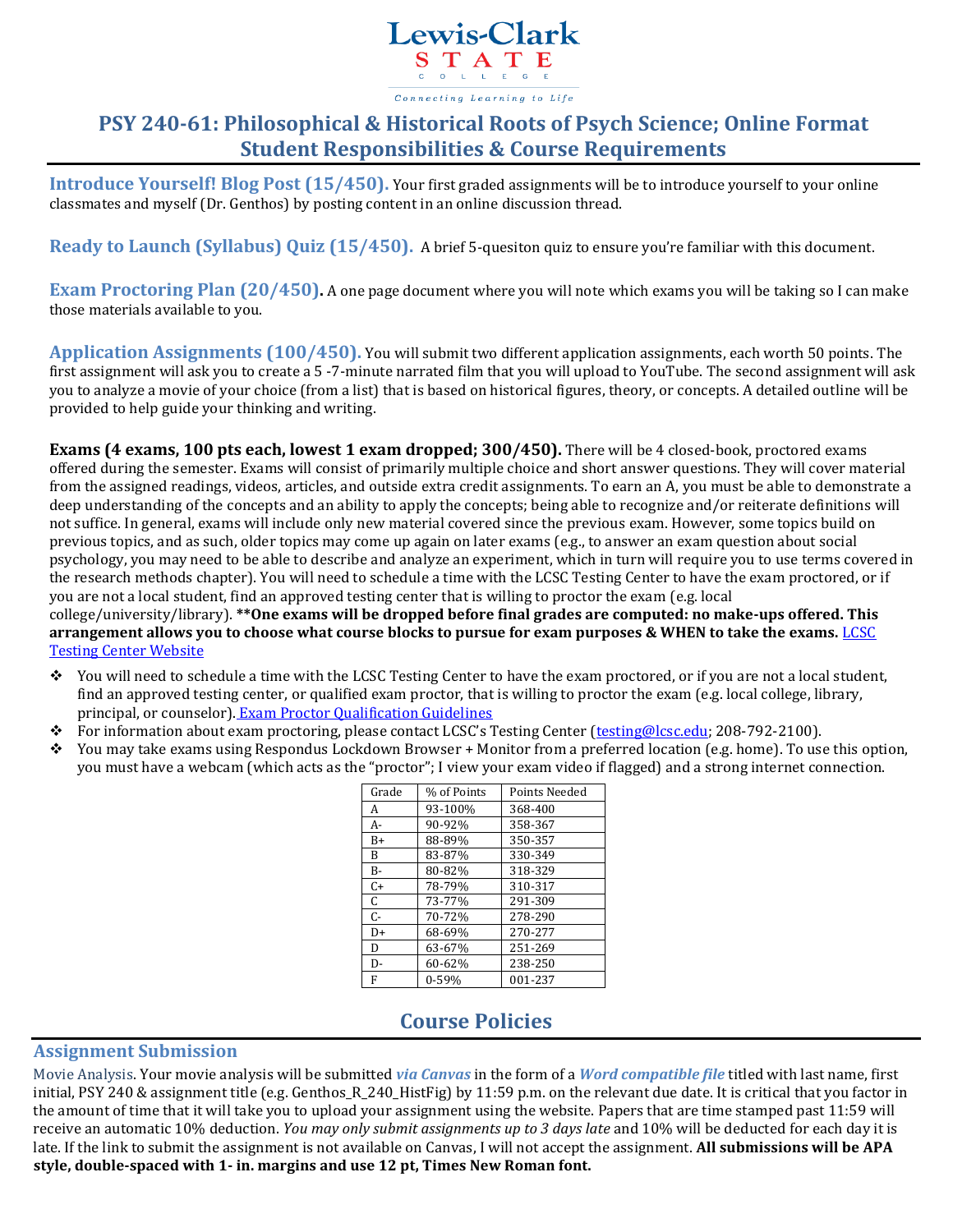

# **PSY 240-61: Philosophical & Historical Roots of Psych Science; Online Format Student Responsibilities & Course Requirements**

**Introduce Yourself! Blog Post (15/450).** Your first graded assignments will be to introduce yourself to your online classmates and myself (Dr. Genthos) by posting content in an online discussion thread.

**Ready to Launch (Syllabus) Quiz (15/450).** A brief 5-quesiton quiz to ensure you're familiar with this document.

**Exam Proctoring Plan (20/450).** A one page document where you will note which exams you will be taking so I can make those materials available to you.

**Application Assignments (100/450).** You will submit two different application assignments, each worth 50 points. The first assignment will ask you to create a 5 -7-minute narrated film that you will upload to YouTube. The second assignment will ask you to analyze a movie of your choice (from a list) that is based on historical figures, theory, or concepts. A detailed outline will be provided to help guide your thinking and writing.

**Exams (4 exams, 100 pts each, lowest 1 exam dropped; 300/450).** There will be 4 closed-book, proctored exams offered during the semester. Exams will consist of primarily multiple choice and short answer questions. They will cover material from the assigned readings, videos, articles, and outside extra credit assignments. To earn an A, you must be able to demonstrate a deep understanding of the concepts and an ability to apply the concepts; being able to recognize and/or reiterate definitions will not suffice. In general, exams will include only new material covered since the previous exam. However, some topics build on previous topics, and as such, older topics may come up again on later exams (e.g., to answer an exam question about social psychology, you may need to be able to describe and analyze an experiment, which in turn will require you to use terms covered in the research methods chapter). You will need to schedule a time with the LCSC Testing Center to have the exam proctored, or if you are not a local student, find an approved testing center that is willing to proctor the exam (e.g. local college/university/library). **\*\*One exams will be dropped before final grades are computed: no make-ups offered. This arrangement allows you to choose what course blocks to pursue for exam purposes & WHEN to take the exams.** [LCSC](http://www.lcsc.edu/testing-center/) 

[Testing Center Website](http://www.lcsc.edu/testing-center/)

- You will need to schedule a time with the LCSC Testing Center to have the exam proctored, or if you are not a local student, find an approved testing center, or qualified exam proctor, that is willing to proctor the exam (e.g. local college, library, principal, or counselor). [Exam Proctor Qualification Guidelines](http://www.lcsc.edu/testing-center/lcsc-students/proctor-qualifications/)
- For information about exam proctoring, please contact LCSC's Testing Center ([testing@lcsc.edu;](mailto:testing@lcsc.edu) 208-792-2100).
- You may take exams using Respondus Lockdown Browser + Monitor from a preferred location (e.g. home). To use this option, you must have a webcam (which acts as the "proctor"; I view your exam video if flagged) and a strong internet connection.

| Grade        | % of Points | Points Needed |
|--------------|-------------|---------------|
| A            | 93-100%     | 368-400       |
| A-           | 90-92%      | 358-367       |
| $B+$         | 88-89%      | 350-357       |
| <sub>R</sub> | 83-87%      | 330-349       |
| $B-$         | 80-82%      | 318-329       |
| $C+$         | 78-79%      | 310-317       |
| C            | 73-77%      | 291-309       |
| $C -$        | 70-72%      | 278-290       |
| D+           | 68-69%      | 270-277       |
| D            | 63-67%      | 251-269       |
| D-           | 60-62%      | 238-250       |
| F            | $0 - 59%$   | 001-237       |

### **Course Policies**

### **Assignment Submission**

Movie Analysis. Your movie analysis will be submitted *via Canvas* in the form of a *Word compatible file* titled with last name, first initial, PSY 240 & assignment title (e.g. Genthos\_R\_240\_HistFig) by 11:59 p.m. on the relevant due date. It is critical that you factor in the amount of time that it will take you to upload your assignment using the website. Papers that are time stamped past 11:59 will receive an automatic 10% deduction. *You may only submit assignments up to 3 days late* and 10% will be deducted for each day it is late. If the link to submit the assignment is not available on Canvas, I will not accept the assignment. **All submissions will be APA style, double-spaced with 1- in. margins and use 12 pt, Times New Roman font.**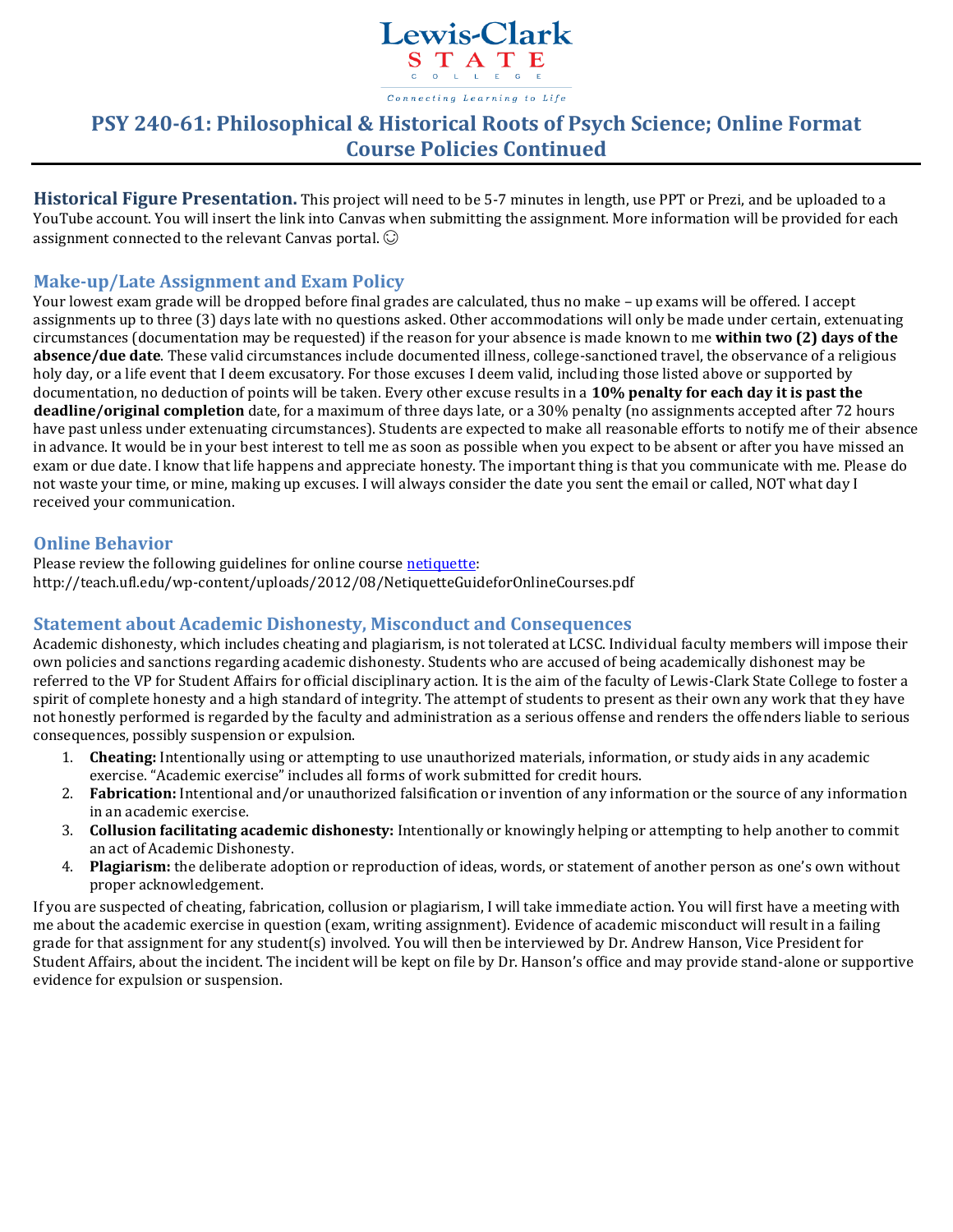

# **PSY 240-61: Philosophical & Historical Roots of Psych Science; Online Format Course Policies Continued**

**Historical Figure Presentation.** This project will need to be 5-7 minutes in length, use PPT or Prezi, and be uploaded to a YouTube account. You will insert the link into Canvas when submitting the assignment. More information will be provided for each assignment connected to the relevant Canvas portal.  $\odot$ 

### **Make-up/Late Assignment and Exam Policy**

Your lowest exam grade will be dropped before final grades are calculated, thus no make – up exams will be offered. I accept assignments up to three (3) days late with no questions asked. Other accommodations will only be made under certain, extenuating circumstances (documentation may be requested) if the reason for your absence is made known to me **within two (2) days of the absence/due date**. These valid circumstances include documented illness, college-sanctioned travel, the observance of a religious holy day, or a life event that I deem excusatory. For those excuses I deem valid, including those listed above or supported by documentation, no deduction of points will be taken. Every other excuse results in a **10% penalty for each day it is past the deadline/original completion** date, for a maximum of three days late, or a 30% penalty (no assignments accepted after 72 hours have past unless under extenuating circumstances). Students are expected to make all reasonable efforts to notify me of their absence in advance. It would be in your best interest to tell me as soon as possible when you expect to be absent or after you have missed an exam or due date. I know that life happens and appreciate honesty. The important thing is that you communicate with me. Please do not waste your time, or mine, making up excuses. I will always consider the date you sent the email or called, NOT what day I received your communication.

### **Online Behavior**

Please review the following guidelines for online cours[e netiquette:](http://teach.ufl.edu/wp-content/uploads/2012/08/NetiquetteGuideforOnlineCourses.pdf) http://teach.ufl.edu/wp-content/uploads/2012/08/NetiquetteGuideforOnlineCourses.pdf

### **Statement about Academic Dishonesty, Misconduct and Consequences**

Academic dishonesty, which includes cheating and plagiarism, is not tolerated at LCSC. Individual faculty members will impose their own policies and sanctions regarding academic dishonesty. Students who are accused of being academically dishonest may be referred to the VP for Student Affairs for official disciplinary action. It is the aim of the faculty of Lewis-Clark State College to foster a spirit of complete honesty and a high standard of integrity. The attempt of students to present as their own any work that they have not honestly performed is regarded by the faculty and administration as a serious offense and renders the offenders liable to serious consequences, possibly suspension or expulsion.

- 1. **Cheating:** Intentionally using or attempting to use unauthorized materials, information, or study aids in any academic exercise. "Academic exercise" includes all forms of work submitted for credit hours.
- 2. **Fabrication:** Intentional and/or unauthorized falsification or invention of any information or the source of any information in an academic exercise.
- 3. **Collusion facilitating academic dishonesty:** Intentionally or knowingly helping or attempting to help another to commit an act of Academic Dishonesty.
- 4. **Plagiarism:** the deliberate adoption or reproduction of ideas, words, or statement of another person as one's own without proper acknowledgement.

If you are suspected of cheating, fabrication, collusion or plagiarism, I will take immediate action. You will first have a meeting with me about the academic exercise in question (exam, writing assignment). Evidence of academic misconduct will result in a failing grade for that assignment for any student(s) involved. You will then be interviewed by Dr. Andrew Hanson, Vice President for Student Affairs, about the incident. The incident will be kept on file by Dr. Hanson's office and may provide stand-alone or supportive evidence for expulsion or suspension.